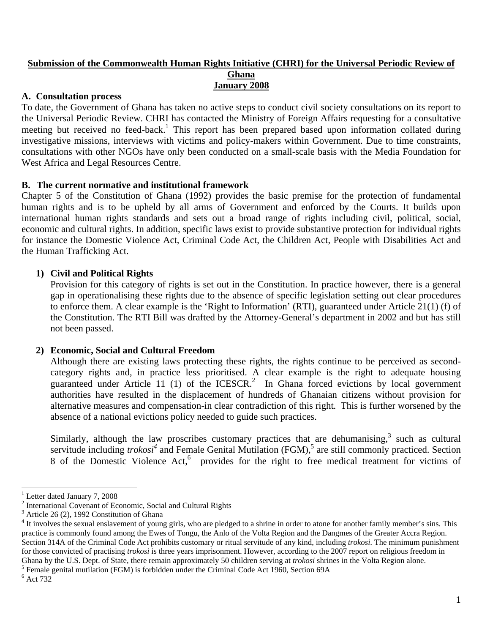#### **Submission of the Commonwealth Human Rights Initiative (CHRI) for the Universal Periodic Review of Ghana January 2008**

### **A. Consultation process**

To date, the Government of Ghana has taken no active steps to conduct civil society consultations on its report to the Universal Periodic Review. CHRI has contacted the Ministry of Foreign Affairs requesting for a consultative meeting but received no feed-back.<sup>1</sup> This report has been prepared based upon information collated during investigative missions, interviews with victims and policy-makers within Government. Due to time constraints, consultations with other NGOs have only been conducted on a small-scale basis with the Media Foundation for West Africa and Legal Resources Centre.

## **B. The current normative and institutional framework**

Chapter 5 of the Constitution of Ghana (1992) provides the basic premise for the protection of fundamental human rights and is to be upheld by all arms of Government and enforced by the Courts. It builds upon international human rights standards and sets out a broad range of rights including civil, political, social, economic and cultural rights. In addition, specific laws exist to provide substantive protection for individual rights for instance the Domestic Violence Act, Criminal Code Act, the Children Act, People with Disabilities Act and the Human Trafficking Act.

### **1) Civil and Political Rights**

 Provision for this category of rights is set out in the Constitution. In practice however, there is a general gap in operationalising these rights due to the absence of specific legislation setting out clear procedures to enforce them. A clear example is the 'Right to Information' (RTI), guaranteed under Article 21(1) (f) of the Constitution. The RTI Bill was drafted by the Attorney-General's department in 2002 and but has still not been passed.

#### **2) Economic, Social and Cultural Freedom**

 Although there are existing laws protecting these rights, the rights continue to be perceived as secondcategory rights and, in practice less prioritised. A clear example is the right to adequate housing guaranteed under Article 11 (1) of the ICESCR.<sup>2</sup> In Ghana forced evictions by local government authorities have resulted in the displacement of hundreds of Ghanaian citizens without provision for alternative measures and compensation-in clear contradiction of this right. This is further worsened by the absence of a national evictions policy needed to guide such practices.

Similarly, although the law proscribes customary practices that are dehumanising, $3$  such as cultural servitude including *trokosi*<sup>4</sup> and Female Genital Mutilation (FGM),<sup>5</sup> are still commonly practiced. Section 8 of the Domestic Violence Act,<sup>6</sup> provides for the right to free medical treatment for victims of

<sup>5</sup> Female genital mutilation (FGM) is forbidden under the Criminal Code Act 1960, Section 69A

 $\overline{a}$ 

<sup>&</sup>lt;sup>1</sup> Letter dated January 7, 2008

<sup>&</sup>lt;sup>2</sup> International Covenant of Economic, Social and Cultural Rights

<sup>&</sup>lt;sup>3</sup> Article 26 (2), 1992 Constitution of Ghana

 $4$  It involves the sexual enslavement of young girls, who are pledged to a shrine in order to atone for another family member's sins. This practice is commonly found among the Ewes of Tongu, the Anlo of the Volta Region and the Dangmes of the Greater Accra Region. Section 314A of the Criminal Code Act prohibits customary or ritual servitude of any kind, including *trokosi*. The minimum punishment for those convicted of practising *trokosi* is three years imprisonment. However, according to the 2007 report on religious freedom in Ghana by the U.S. Dept. of State, there remain approximately 50 children serving at *trokosi* shrines in the Volta Region alone. 5

 $6$  Act 732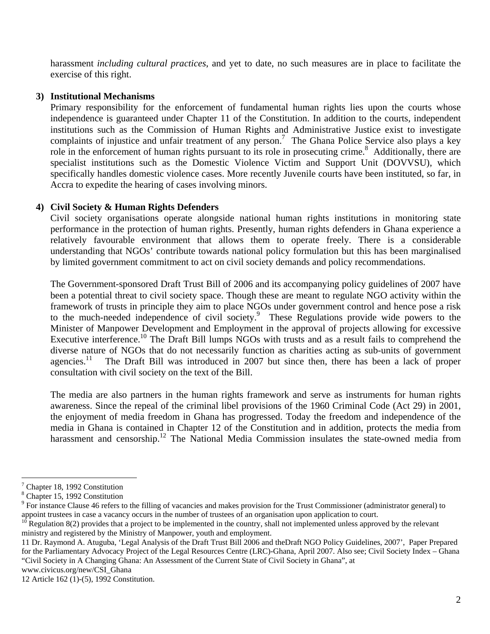harassment *including cultural practices*, and yet to date, no such measures are in place to facilitate the exercise of this right.

### **3) Institutional Mechanisms**

 Primary responsibility for the enforcement of fundamental human rights lies upon the courts whose independence is guaranteed under Chapter 11 of the Constitution. In addition to the courts, independent institutions such as the Commission of Human Rights and Administrative Justice exist to investigate complaints of injustice and unfair treatment of any person.<sup>7</sup> The Ghana Police Service also plays a key role in the enforcement of human rights pursuant to its role in prosecuting crime.<sup>8</sup> Additionally, there are specialist institutions such as the Domestic Violence Victim and Support Unit (DOVVSU), which specifically handles domestic violence cases. More recently Juvenile courts have been instituted, so far, in Accra to expedite the hearing of cases involving minors.

## **4) Civil Society & Human Rights Defenders**

 Civil society organisations operate alongside national human rights institutions in monitoring state performance in the protection of human rights. Presently, human rights defenders in Ghana experience a relatively favourable environment that allows them to operate freely. There is a considerable understanding that NGOs' contribute towards national policy formulation but this has been marginalised by limited government commitment to act on civil society demands and policy recommendations.

 The Government-sponsored Draft Trust Bill of 2006 and its accompanying policy guidelines of 2007 have been a potential threat to civil society space. Though these are meant to regulate NGO activity within the framework of trusts in principle they aim to place NGOs under government control and hence pose a risk to the much-needed independence of civil society.<sup>9</sup> These Regulations provide wide powers to the Minister of Manpower Development and Employment in the approval of projects allowing for excessive Executive interference.<sup>10</sup> The Draft Bill lumps NGOs with trusts and as a result fails to comprehend the diverse nature of NGOs that do not necessarily function as charities acting as sub-units of government agencies.<sup>11</sup> The Draft Bill was introduced in 2007 but since then, there has been a lack of proper consultation with civil society on the text of the Bill.

 The media are also partners in the human rights framework and serve as instruments for human rights awareness. Since the repeal of the criminal libel provisions of the 1960 Criminal Code (Act 29) in 2001, the enjoyment of media freedom in Ghana has progressed. Today the freedom and independence of the media in Ghana is contained in Chapter 12 of the Constitution and in addition, protects the media from harassment and censorship.<sup>12</sup> The National Media Commission insulates the state-owned media from

 $\overline{a}$ 

<sup>&</sup>lt;sup>7</sup> Chapter 18, 1992 Constitution

<sup>8</sup> Chapter 15, 1992 Constitution

<sup>&</sup>lt;sup>9</sup> For instance Clause 46 refers to the filling of vacancies and makes provision for the Trust Commissioner (administrator general) to appoint trustees in case a vacancy occurs in the number of trustees of an organisation upon application to court.

Regulation 8(2) provides that a project to be implemented in the country, shall not implemented unless approved by the relevant ministry and registered by the Ministry of Manpower, youth and employment.

<sup>11</sup> Dr. Raymond A. Atuguba, 'Legal Analysis of the Draft Trust Bill 2006 and theDraft NGO Policy Guidelines, 2007', Paper Prepared for the Parliamentary Advocacy Project of the Legal Resources Centre (LRC)-Ghana, April 2007. Also see; Civil Society Index – Ghana "Civil Society in A Changing Ghana: An Assessment of the Current State of Civil Society in Ghana", at

www.civicus.org/new/CSI\_Ghana

<sup>12</sup> Article 162 (1)-(5), 1992 Constitution.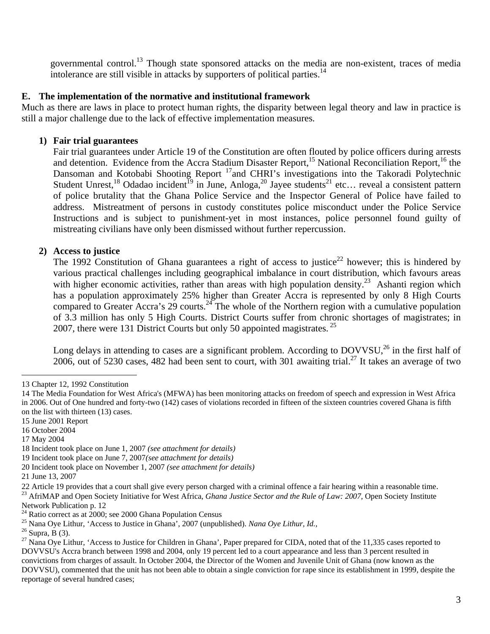governmental control.<sup>13</sup> Though state sponsored attacks on the media are non-existent, traces of media intolerance are still visible in attacks by supporters of political parties.<sup>14</sup>

### **E. The implementation of the normative and institutional framework**

Much as there are laws in place to protect human rights, the disparity between legal theory and law in practice is still a major challenge due to the lack of effective implementation measures.

### **1) Fair trial guarantees**

 Fair trial guarantees under Article 19 of the Constitution are often flouted by police officers during arrests and detention. Evidence from the Accra Stadium Disaster Report,<sup>15</sup> National Reconciliation Report,<sup>16</sup> the Dansoman and Kotobabi Shooting Report <sup>17</sup>and CHRI's investigations into the Takoradi Polytechnic Student Unrest,<sup>18</sup> Odadao incident<sup>19</sup> in June, Anloga,<sup>20</sup> Jayee students<sup>21</sup> etc... reveal a consistent pattern of police brutality that the Ghana Police Service and the Inspector General of Police have failed to address. Mistreatment of persons in custody constitutes police misconduct under the Police Service Instructions and is subject to punishment-yet in most instances, police personnel found guilty of mistreating civilians have only been dismissed without further repercussion.

### **2) Access to justice**

The 1992 Constitution of Ghana guarantees a right of access to justice<sup>22</sup> however; this is hindered by various practical challenges including geographical imbalance in court distribution, which favours areas with higher economic activities, rather than areas with high population density.<sup>23</sup> Ashanti region which has a population approximately 25% higher than Greater Accra is represented by only 8 High Courts compared to Greater Accra's 29 courts.<sup>24</sup> The whole of the Northern region with a cumulative population of 3.3 million has only 5 High Courts. District Courts suffer from chronic shortages of magistrates; in 2007, there were 131 District Courts but only 50 appointed magistrates.  $^{25}$ 

Long delays in attending to cases are a significant problem. According to  $DQVVSU<sub>1</sub><sup>26</sup>$  in the first half of  $2006$ , out of 5230 cases, 482 had been sent to court, with 301 awaiting trial.<sup>27</sup> It takes an average of two

 $\overline{a}$ 

<sup>13</sup> Chapter 12, 1992 Constitution

<sup>14</sup> The Media Foundation for West Africa's (MFWA) has been monitoring attacks on freedom of speech and expression in West Africa in 2006. Out of One hundred and forty-two (142) cases of violations recorded in fifteen of the sixteen countries covered Ghana is fifth on the list with thirteen (13) cases.

<sup>15</sup> June 2001 Report

<sup>16</sup> October 2004

<sup>17</sup> May 2004

<sup>18</sup> Incident took place on June 1, 2007 *(see attachment for details)* 

<sup>19</sup> Incident took place on June 7, 2007*(see attachment for details)* 

<sup>20</sup> Incident took place on November 1, 2007 *(see attachment for details)* 

<sup>21</sup> June 13, 2007

<sup>22</sup> Article 19 provides that a court shall give every person charged with a criminal offence a fair hearing within a reasonable time.<br><sup>23</sup> AfriMAP and Open Society Initiative for West Africa, *Ghana Justice Sector and the R* Network Publication p. 12<br><sup>24</sup> Ratio correct as at 2000; see 2000 Ghana Population Census

<sup>&</sup>lt;sup>25</sup> Nana Oye Lithur, 'Access to Justice in Ghana', 2007 (unpublished). *Nana Oye Lithur, Id.*, <sup>26</sup> Supra, B (3).

 $^{27}$  Nana Oye Lithur, 'Access to Justice for Children in Ghana', Paper prepared for CIDA, noted that of the 11,335 cases reported to DOVVSU's Accra branch between 1998 and 2004, only 19 percent led to a court appearance and less than 3 percent resulted in convictions from charges of assault. In October 2004, the Director of the Women and Juvenile Unit of Ghana (now known as the DOVVSU), commented that the unit has not been able to obtain a single conviction for rape since its establishment in 1999, despite the reportage of several hundred cases;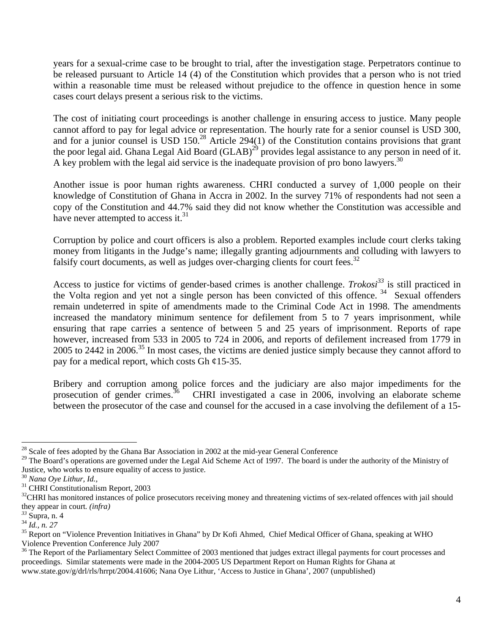years for a sexual-crime case to be brought to trial, after the investigation stage. Perpetrators continue to be released pursuant to Article 14 (4) of the Constitution which provides that a person who is not tried within a reasonable time must be released without prejudice to the offence in question hence in some cases court delays present a serious risk to the victims.

 The cost of initiating court proceedings is another challenge in ensuring access to justice. Many people cannot afford to pay for legal advice or representation. The hourly rate for a senior counsel is USD 300, and for a junior counsel is USD 150.<sup>28</sup> Article 294(1) of the Constitution contains provisions that grant the poor legal aid. Ghana Legal Aid Board (GLAB)<sup>29</sup> provides legal assistance to any person in need of it. A key problem with the legal aid service is the inadequate provision of pro bono lawyers.<sup>30</sup>

 Another issue is poor human rights awareness. CHRI conducted a survey of 1,000 people on their knowledge of Constitution of Ghana in Accra in 2002. In the survey 71% of respondents had not seen a copy of the Constitution and 44.7% said they did not know whether the Constitution was accessible and have never attempted to access it. $31$ 

 Corruption by police and court officers is also a problem. Reported examples include court clerks taking money from litigants in the Judge's name; illegally granting adjournments and colluding with lawyers to falsify court documents, as well as judges over-charging clients for court fees.<sup>32</sup>

Access to justice for victims of gender-based crimes is another challenge. *Trokosi*<sup>33</sup> is still practiced in the Volta region and yet not a single person has been convicted of this offence.<sup>34</sup> Sexual offenders remain undeterred in spite of amendments made to the Criminal Code Act in 1998. The amendments increased the mandatory minimum sentence for defilement from 5 to 7 years imprisonment, while ensuring that rape carries a sentence of between 5 and 25 years of imprisonment. Reports of rape however, increased from 533 in 2005 to 724 in 2006, and reports of defilement increased from 1779 in 2005 to 2442 in 2006.<sup>35</sup> In most cases, the victims are denied justice simply because they cannot afford to pay for a medical report, which costs Gh ¢15-35.

 Bribery and corruption among police forces and the judiciary are also major impediments for the prosecution of gender crimes.<sup>36</sup> CHRI investigated a case in 2006, involving an elaborate scheme between the prosecutor of the case and counsel for the accused in a case involving the defilement of a 15-

 $\overline{a}$  $28$  Scale of fees adopted by the Ghana Bar Association in 2002 at the mid-year General Conference

<sup>&</sup>lt;sup>29</sup> The Board's operations are governed under the Legal Aid Scheme Act of 1997. The board is under the authority of the Ministry of Justice, who works to ensure equality of access to justice.  $30$  Nana Oye Lithur, Id.,

<sup>&</sup>lt;sup>31</sup> CHRI Constitutionalism Report, 2003

<sup>&</sup>lt;sup>32</sup>CHRI has monitored instances of police prosecutors receiving money and threatening victims of sex-related offences with jail should they appear in court. *(infra)*<br><sup>33</sup> Supra, n. 4<br><sup>34</sup> Id., n. 27

<sup>&</sup>lt;sup>35</sup> Report on "Violence Prevention Initiatives in Ghana" by Dr Kofi Ahmed, Chief Medical Officer of Ghana, speaking at WHO Violence Prevention Conference July 2007<br><sup>36</sup> The Report of the Parliamentary Select Committee of 2003 mentioned that judges extract illegal payments for court processes and

proceedings. Similar statements were made in the 2004-2005 US Department Report on Human Rights for Ghana at www.state.gov/g/drl/rls/hrrpt/2004.41606; Nana Oye Lithur, 'Access to Justice in Ghana', 2007 (unpublished)